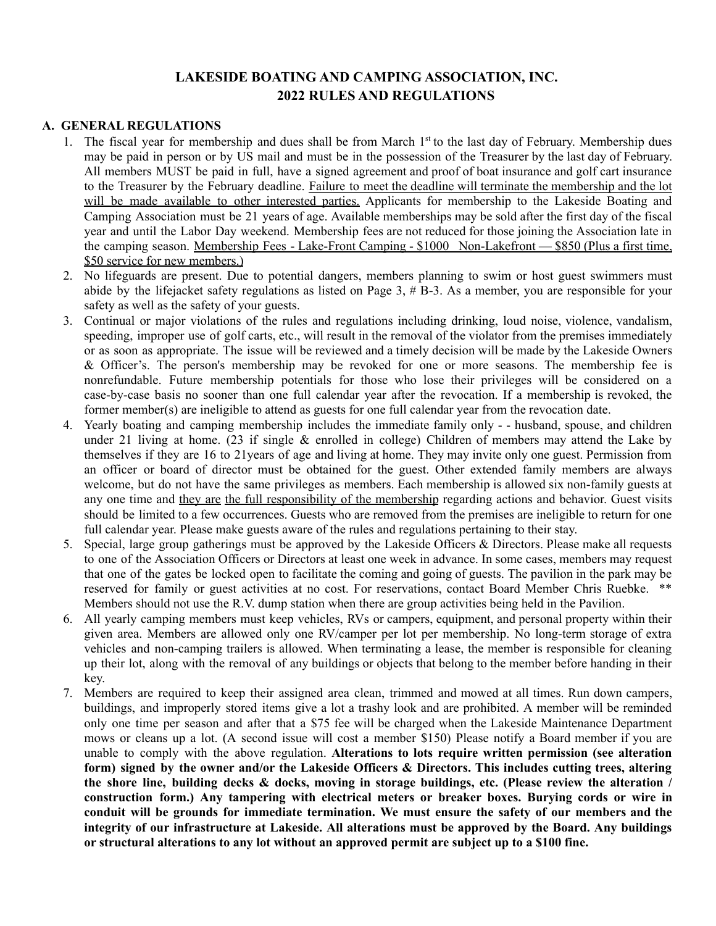# **LAKESIDE BOATING AND CAMPING ASSOCIATION, INC. 2022 RULES AND REGULATIONS**

#### **A. GENERAL REGULATIONS**

- 1. The fiscal year for membership and dues shall be from March 1<sup>st</sup> to the last day of February. Membership dues may be paid in person or by US mail and must be in the possession of the Treasurer by the last day of February. All members MUST be paid in full, have a signed agreement and proof of boat insurance and golf cart insurance to the Treasurer by the February deadline. Failure to meet the deadline will terminate the membership and the lot will be made available to other interested parties. Applicants for membership to the Lakeside Boating and Camping Association must be 21 years of age. Available memberships may be sold after the first day of the fiscal year and until the Labor Day weekend. Membership fees are not reduced for those joining the Association late in the camping season. Membership Fees - Lake-Front Camping - \$1000 Non-Lakefront — \$850 (Plus a first time, \$50 service for new members.)
- 2. No lifeguards are present. Due to potential dangers, members planning to swim or host guest swimmers must abide by the lifejacket safety regulations as listed on Page 3,  $\# B$ -3. As a member, you are responsible for your safety as well as the safety of your guests.
- 3. Continual or major violations of the rules and regulations including drinking, loud noise, violence, vandalism, speeding, improper use of golf carts, etc., will result in the removal of the violator from the premises immediately or as soon as appropriate. The issue will be reviewed and a timely decision will be made by the Lakeside Owners & Officer's. The person's membership may be revoked for one or more seasons. The membership fee is nonrefundable. Future membership potentials for those who lose their privileges will be considered on a case-by-case basis no sooner than one full calendar year after the revocation. If a membership is revoked, the former member(s) are ineligible to attend as guests for one full calendar year from the revocation date.
- 4. Yearly boating and camping membership includes the immediate family only - husband, spouse, and children under 21 living at home. (23 if single & enrolled in college) Children of members may attend the Lake by themselves if they are 16 to 21years of age and living at home. They may invite only one guest. Permission from an officer or board of director must be obtained for the guest. Other extended family members are always welcome, but do not have the same privileges as members. Each membership is allowed six non-family guests at any one time and they are the full responsibility of the membership regarding actions and behavior. Guest visits should be limited to a few occurrences. Guests who are removed from the premises are ineligible to return for one full calendar year. Please make guests aware of the rules and regulations pertaining to their stay.
- 5. Special, large group gatherings must be approved by the Lakeside Officers & Directors. Please make all requests to one of the Association Officers or Directors at least one week in advance. In some cases, members may request that one of the gates be locked open to facilitate the coming and going of guests. The pavilion in the park may be reserved for family or guest activities at no cost. For reservations, contact Board Member Chris Ruebke. \*\* Members should not use the R.V. dump station when there are group activities being held in the Pavilion.
- 6. All yearly camping members must keep vehicles, RVs or campers, equipment, and personal property within their given area. Members are allowed only one RV/camper per lot per membership. No long-term storage of extra vehicles and non-camping trailers is allowed. When terminating a lease, the member is responsible for cleaning up their lot, along with the removal of any buildings or objects that belong to the member before handing in their key.
- 7. Members are required to keep their assigned area clean, trimmed and mowed at all times. Run down campers, buildings, and improperly stored items give a lot a trashy look and are prohibited. A member will be reminded only one time per season and after that a \$75 fee will be charged when the Lakeside Maintenance Department mows or cleans up a lot. (A second issue will cost a member \$150) Please notify a Board member if you are unable to comply with the above regulation. **Alterations to lots require written permission (see alteration form) signed by the owner and/or the Lakeside Officers & Directors. This includes cutting trees, altering the shore line, building decks & docks, moving in storage buildings, etc. (Please review the alteration / construction form.) Any tampering with electrical meters or breaker boxes. Burying cords or wire in conduit will be grounds for immediate termination. We must ensure the safety of our members and the integrity of our infrastructure at Lakeside. All alterations must be approved by the Board. Any buildings or structural alterations to any lot without an approved permit are subject up to a \$100 fine.**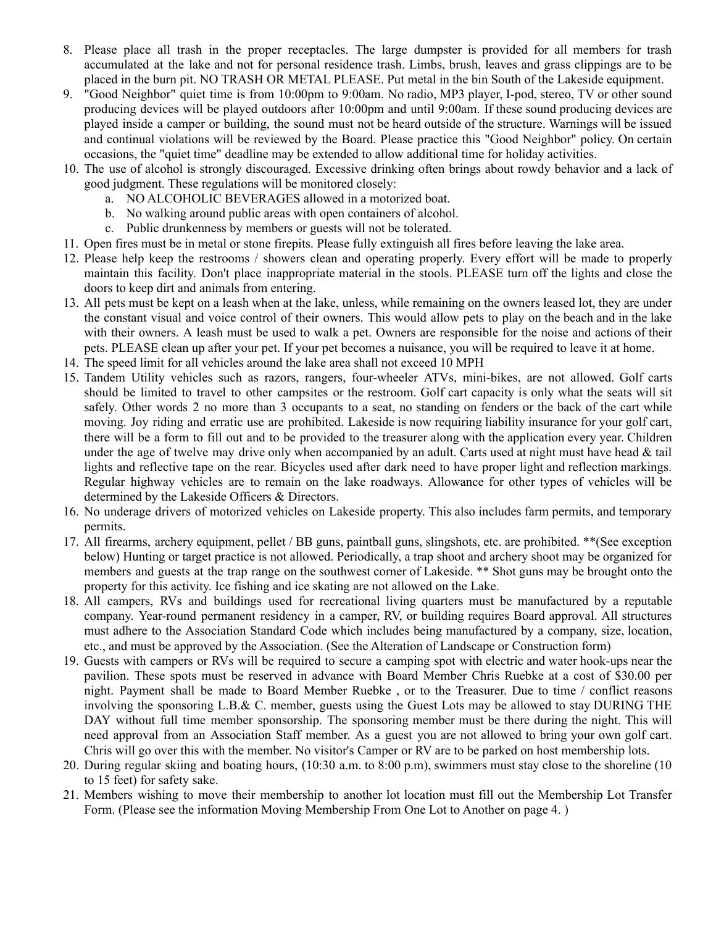- 8. Please place all trash in the proper receptacles. The large dumpster is provided for all members for trash accumulated at the lake and not for personal residence trash. Limbs, brush, leaves and grass clippings are to be placed in the burn pit. NO TRASH OR METAL PLEASE. Put metal in the bin South of the Lakeside equipment.
- 9. "Good Neighbor" quiet time is from 10:00pm to 9:00am. No radio, MP3 player, I-pod, stereo, TV or other sound producing devices will be played outdoors after 10:00pm and until 9:00am. If these sound producing devices are played inside a camper or building, the sound must not be heard outside of the structure. Warnings will be issued and continual violations will be reviewed by the Board. Please practice this "Good Neighbor" policy. On certain occasions, the "quiet time" deadline may be extended to allow additional time for holiday activities.
- 10. The use of alcohol is strongly discouraged. Excessive drinking often brings about rowdy behavior and a lack of good judgment. These regulations will be monitored closely:
	- a. NO ALCOHOLIC BEVERAGES allowed in a motorized boat.
	- b. No walking around public areas with open containers of alcohol.
	- c. Public drunkenness by members or guests will not be tolerated.
- 11. Open fires must be in metal or stone firepits. Please fully extinguish all fires before leaving the lake area.
- 12. Please help keep the restrooms / showers clean and operating properly. Every effort will be made to properly maintain this facility. Don't place inappropriate material in the stools. PLEASE turn off the lights and close the doors to keep dirt and animals from entering.
- 13. All pets must be kept on a leash when at the lake, unless, while remaining on the owners leased lot, they are under the constant visual and voice control of their owners. This would allow pets to play on the beach and in the lake with their owners. A leash must be used to walk a pet. Owners are responsible for the noise and actions of their pets. PLEASE clean up after your pet. If your pet becomes a nuisance, you will be required to leave it at home.
- 14. The speed limit for all vehicles around the lake area shall not exceed 10 MPH
- 15. Tandem Utility vehicles such as razors, rangers, four-wheeler ATVs, mini-bikes, are not allowed. Golf carts should be limited to travel to other campsites or the restroom. Golf cart capacity is only what the seats will sit safely. Other words 2 no more than 3 occupants to a seat, no standing on fenders or the back of the cart while moving. Joy riding and erratic use are prohibited. Lakeside is now requiring liability insurance for your golf cart, there will be a form to fill out and to be provided to the treasurer along with the application every year. Children under the age of twelve may drive only when accompanied by an adult. Carts used at night must have head  $\&$  tail lights and reflective tape on the rear. Bicycles used after dark need to have proper light and reflection markings. Regular highway vehicles are to remain on the lake roadways. Allowance for other types of vehicles will be determined by the Lakeside Officers & Directors.
- 16. No underage drivers of motorized vehicles on Lakeside property. This also includes farm permits, and temporary permits.
- 17. All firearms, archery equipment, pellet / BB guns, paintball guns, slingshots, etc. are prohibited. \*\*(See exception below) Hunting or target practice is not allowed. Periodically, a trap shoot and archery shoot may be organized for members and guests at the trap range on the southwest corner of Lakeside. \*\* Shot guns may be brought onto the property for this activity. Ice fishing and ice skating are not allowed on the Lake.
- 18. All campers, RVs and buildings used for recreational living quarters must be manufactured by a reputable company. Year-round permanent residency in a camper, RV, or building requires Board approval. All structures must adhere to the Association Standard Code which includes being manufactured by a company, size, location, etc., and must be approved by the Association. (See the Alteration of Landscape or Construction form)
- 19. Guests with campers or RVs will be required to secure a camping spot with electric and water hook-ups near the pavilion. These spots must be reserved in advance with Board Member Chris Ruebke at a cost of \$30.00 per night. Payment shall be made to Board Member Ruebke , or to the Treasurer. Due to time / conflict reasons involving the sponsoring L.B.& C. member, guests using the Guest Lots may be allowed to stay DURING THE DAY without full time member sponsorship. The sponsoring member must be there during the night. This will need approval from an Association Staff member. As a guest you are not allowed to bring your own golf cart. Chris will go over this with the member. No visitor's Camper or RV are to be parked on host membership lots.
- 20. During regular skiing and boating hours, (10:30 a.m. to 8:00 p.m), swimmers must stay close to the shoreline (10 to 15 feet) for safety sake.
- 21. Members wishing to move their membership to another lot location must fill out the Membership Lot Transfer Form. (Please see the information Moving Membership From One Lot to Another on page 4. )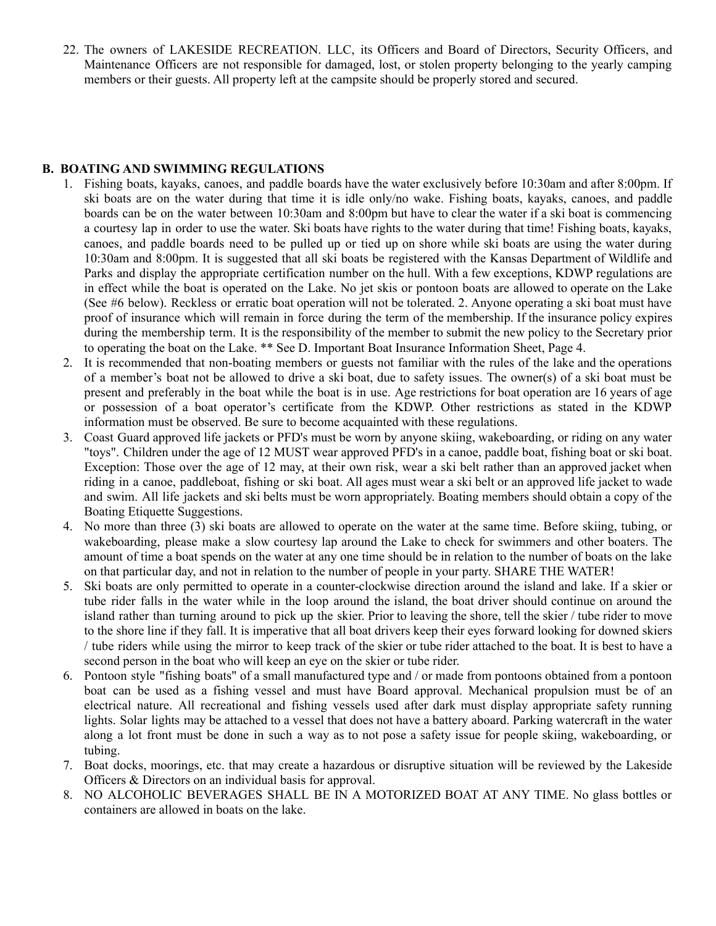22. The owners of LAKESIDE RECREATION. LLC, its Officers and Board of Directors, Security Officers, and Maintenance Officers are not responsible for damaged, lost, or stolen property belonging to the yearly camping members or their guests. All property left at the campsite should be properly stored and secured.

#### **B. BOATING AND SWIMMING REGULATIONS**

- 1. Fishing boats, kayaks, canoes, and paddle boards have the water exclusively before 10:30am and after 8:00pm. If ski boats are on the water during that time it is idle only/no wake. Fishing boats, kayaks, canoes, and paddle boards can be on the water between 10:30am and 8:00pm but have to clear the water if a ski boat is commencing a courtesy lap in order to use the water. Ski boats have rights to the water during that time! Fishing boats, kayaks, canoes, and paddle boards need to be pulled up or tied up on shore while ski boats are using the water during 10:30am and 8:00pm. It is suggested that all ski boats be registered with the Kansas Department of Wildlife and Parks and display the appropriate certification number on the hull. With a few exceptions, KDWP regulations are in effect while the boat is operated on the Lake. No jet skis or pontoon boats are allowed to operate on the Lake (See #6 below). Reckless or erratic boat operation will not be tolerated. 2. Anyone operating a ski boat must have proof of insurance which will remain in force during the term of the membership. If the insurance policy expires during the membership term. It is the responsibility of the member to submit the new policy to the Secretary prior to operating the boat on the Lake. \*\* See D. Important Boat Insurance Information Sheet, Page 4.
- 2. It is recommended that non-boating members or guests not familiar with the rules of the lake and the operations of a member's boat not be allowed to drive a ski boat, due to safety issues. The owner(s) of a ski boat must be present and preferably in the boat while the boat is in use. Age restrictions for boat operation are 16 years of age or possession of a boat operator's certificate from the KDWP. Other restrictions as stated in the KDWP information must be observed. Be sure to become acquainted with these regulations.
- 3. Coast Guard approved life jackets or PFD's must be worn by anyone skiing, wakeboarding, or riding on any water "toys". Children under the age of 12 MUST wear approved PFD's in a canoe, paddle boat, fishing boat or ski boat. Exception: Those over the age of 12 may, at their own risk, wear a ski belt rather than an approved jacket when riding in a canoe, paddleboat, fishing or ski boat. All ages must wear a ski belt or an approved life jacket to wade and swim. All life jackets and ski belts must be worn appropriately. Boating members should obtain a copy of the Boating Etiquette Suggestions.
- 4. No more than three (3) ski boats are allowed to operate on the water at the same time. Before skiing, tubing, or wakeboarding, please make a slow courtesy lap around the Lake to check for swimmers and other boaters. The amount of time a boat spends on the water at any one time should be in relation to the number of boats on the lake on that particular day, and not in relation to the number of people in your party. SHARE THE WATER!
- 5. Ski boats are only permitted to operate in a counter-clockwise direction around the island and lake. If a skier or tube rider falls in the water while in the loop around the island, the boat driver should continue on around the island rather than turning around to pick up the skier. Prior to leaving the shore, tell the skier / tube rider to move to the shore line if they fall. It is imperative that all boat drivers keep their eyes forward looking for downed skiers / tube riders while using the mirror to keep track of the skier or tube rider attached to the boat. It is best to have a second person in the boat who will keep an eye on the skier or tube rider.
- 6. Pontoon style "fishing boats" of a small manufactured type and / or made from pontoons obtained from a pontoon boat can be used as a fishing vessel and must have Board approval. Mechanical propulsion must be of an electrical nature. All recreational and fishing vessels used after dark must display appropriate safety running lights. Solar lights may be attached to a vessel that does not have a battery aboard. Parking watercraft in the water along a lot front must be done in such a way as to not pose a safety issue for people skiing, wakeboarding, or tubing.
- 7. Boat docks, moorings, etc. that may create a hazardous or disruptive situation will be reviewed by the Lakeside Officers & Directors on an individual basis for approval.
- 8. NO ALCOHOLIC BEVERAGES SHALL BE IN A MOTORIZED BOAT AT ANY TIME. No glass bottles or containers are allowed in boats on the lake.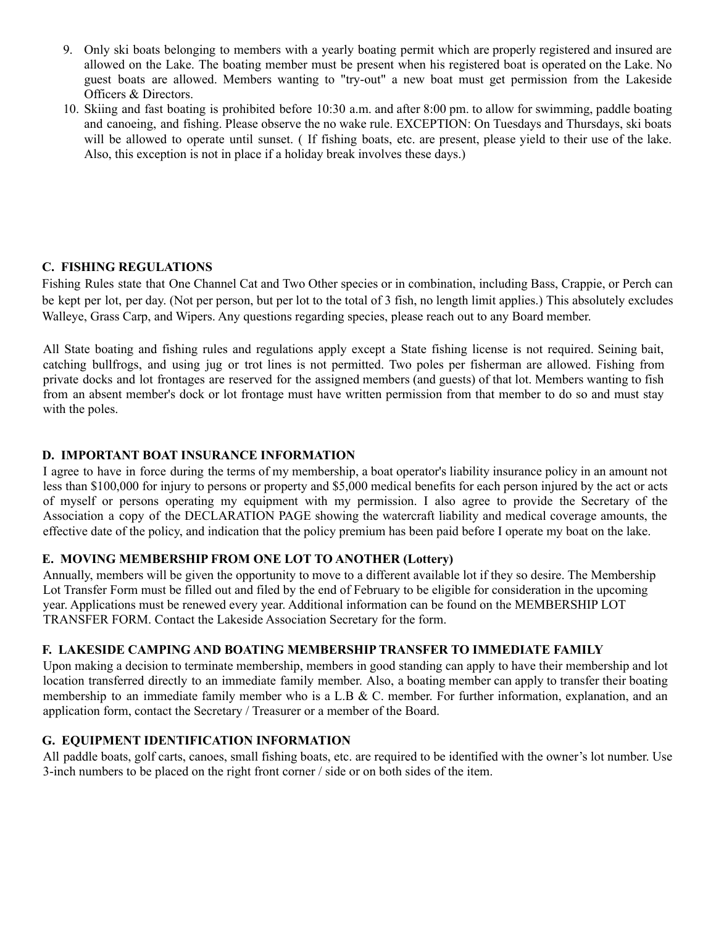- 9. Only ski boats belonging to members with a yearly boating permit which are properly registered and insured are allowed on the Lake. The boating member must be present when his registered boat is operated on the Lake. No guest boats are allowed. Members wanting to "try-out" a new boat must get permission from the Lakeside Officers & Directors.
- 10. Skiing and fast boating is prohibited before 10:30 a.m. and after 8:00 pm. to allow for swimming, paddle boating and canoeing, and fishing. Please observe the no wake rule. EXCEPTION: On Tuesdays and Thursdays, ski boats will be allowed to operate until sunset. (If fishing boats, etc. are present, please yield to their use of the lake. Also, this exception is not in place if a holiday break involves these days.)

## **C. FISHING REGULATIONS**

Fishing Rules state that One Channel Cat and Two Other species or in combination, including Bass, Crappie, or Perch can be kept per lot, per day. (Not per person, but per lot to the total of 3 fish, no length limit applies.) This absolutely excludes Walleye, Grass Carp, and Wipers. Any questions regarding species, please reach out to any Board member.

All State boating and fishing rules and regulations apply except a State fishing license is not required. Seining bait, catching bullfrogs, and using jug or trot lines is not permitted. Two poles per fisherman are allowed. Fishing from private docks and lot frontages are reserved for the assigned members (and guests) of that lot. Members wanting to fish from an absent member's dock or lot frontage must have written permission from that member to do so and must stay with the poles.

### **D. IMPORTANT BOAT INSURANCE INFORMATION**

I agree to have in force during the terms of my membership, a boat operator's liability insurance policy in an amount not less than \$100,000 for injury to persons or property and \$5,000 medical benefits for each person injured by the act or acts of myself or persons operating my equipment with my permission. I also agree to provide the Secretary of the Association a copy of the DECLARATION PAGE showing the watercraft liability and medical coverage amounts, the effective date of the policy, and indication that the policy premium has been paid before I operate my boat on the lake.

### **E. MOVING MEMBERSHIP FROM ONE LOT TO ANOTHER (Lottery)**

Annually, members will be given the opportunity to move to a different available lot if they so desire. The Membership Lot Transfer Form must be filled out and filed by the end of February to be eligible for consideration in the upcoming year. Applications must be renewed every year. Additional information can be found on the MEMBERSHIP LOT TRANSFER FORM. Contact the Lakeside Association Secretary for the form.

### **F. LAKESIDE CAMPING AND BOATING MEMBERSHIP TRANSFER TO IMMEDIATE FAMILY**

Upon making a decision to terminate membership, members in good standing can apply to have their membership and lot location transferred directly to an immediate family member. Also, a boating member can apply to transfer their boating membership to an immediate family member who is a L.B & C. member. For further information, explanation, and an application form, contact the Secretary / Treasurer or a member of the Board.

### **G. EQUIPMENT IDENTIFICATION INFORMATION**

All paddle boats, golf carts, canoes, small fishing boats, etc. are required to be identified with the owner's lot number. Use 3-inch numbers to be placed on the right front corner / side or on both sides of the item.